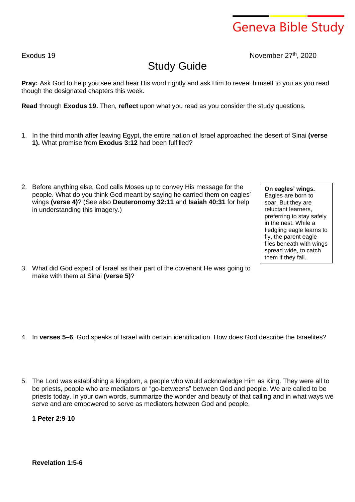## Geneva Bible Study

Exodus 19 November 27<sup>th</sup>, 2020

## Study Guide

**Pray:** Ask God to help you see and hear His word rightly and ask Him to reveal himself to you as you read though the designated chapters this week.

**Read** through **Exodus 19.** Then, **reflect** upon what you read as you consider the study questions.

- 1. In the third month after leaving Egypt, the entire nation of Israel approached the desert of Sinai **(verse 1).** What promise from **Exodus 3:12** had been fulfilled?
- 2. Before anything else, God calls Moses up to convey His message for the people. What do you think God meant by saying he carried them on eagles' wings **(verse 4)**? (See also **Deuteronomy 32:11** and **Isaiah 40:31** for help in understanding this imagery.)

**On eagles' wings.** Eagles are born to soar. But they are reluctant learners, preferring to stay safely in the nest. While a fledgling eagle learns to fly, the parent eagle flies beneath with wings spread wide, to catch them if they fall.

3. What did God expect of Israel as their part of the covenant He was going to make with them at Sinai **(verse 5)**?

- 4. In **verses 5–6**, God speaks of Israel with certain identification. How does God describe the Israelites?
- 5. The Lord was establishing a kingdom, a people who would acknowledge Him as King. They were all to be priests, people who are mediators or "go-betweens" between God and people. We are called to be priests today. In your own words, summarize the wonder and beauty of that calling and in what ways we serve and are empowered to serve as mediators between God and people.

**1 Peter 2:9-10**